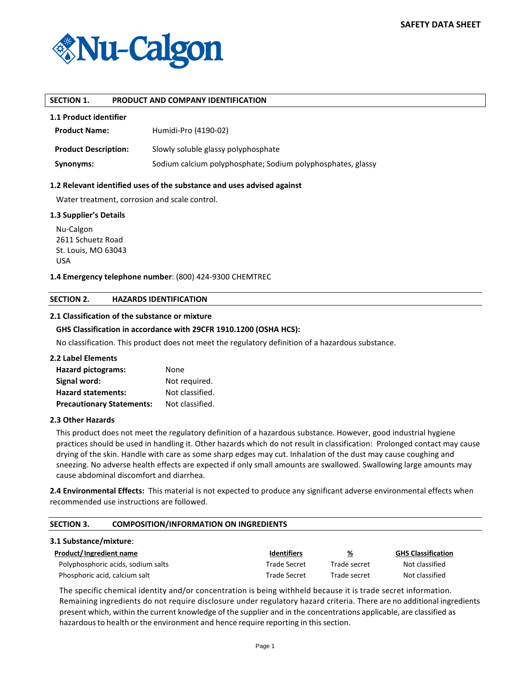

## **SECTION 1. PRODUCT AND COMPANY IDENTIFICATION**

## **1.1 Product identifier**

| <b>Product Name:</b>        | Humidi-Pro (4190-02)                                        |
|-----------------------------|-------------------------------------------------------------|
| <b>Product Description:</b> | Slowly soluble glassy polyphosphate                         |
| Synonyms:                   | Sodium calcium polyphosphate; Sodium polyphosphates, glassy |

### **1.2 Relevant identified uses of the substance and uses advised against**

Water treatment, corrosion and scale control.

#### **1.3 Supplier's Details**

Nu-Calgon 2611 Schuetz Road St. Louis, MO 63043 USA

## **1.4 Emergency telephone number**: (800) 424-9300 CHEMTREC

#### **SECTION 2. HAZARDS IDENTIFICATION**

### **2.1 Classification of the substance or mixture**

## **GHS Classification in accordance with 29CFR 1910.1200 (OSHA HCS):**

No classification. This product does not meet the regulatory definition of a hazardous substance.

#### **2.2 Label Elements**

| <b>Hazard pictograms:</b>        | None            |
|----------------------------------|-----------------|
| Signal word:                     | Not required.   |
| <b>Hazard statements:</b>        | Not classified. |
| <b>Precautionary Statements:</b> | Not classified. |

#### **2.3 Other Hazards**

This product does not meet the regulatory definition of a hazardous substance. However, good industrial hygiene practices should be used in handling it. Other hazards which do not result in classification: Prolonged contact may cause drying of the skin. Handle with care as some sharp edges may cut. Inhalation of the dust may cause coughing and sneezing. No adverse health effects are expected if only small amounts are swallowed. Swallowing large amounts may cause abdominal discomfort and diarrhea.

**2.4 Environmental Effects:** This material is not expected to produce any significant adverse environmental effects when recommended use instructions are followed.

| <b>SECTION 3.</b>       | <b>COMPOSITION/INFORMATION ON INGREDIENTS</b> |                    |              |                           |  |  |  |
|-------------------------|-----------------------------------------------|--------------------|--------------|---------------------------|--|--|--|
| 3.1 Substance/mixture:  |                                               |                    |              |                           |  |  |  |
| Product/Ingredient name |                                               | <b>Identifiers</b> | <u>%</u>     | <b>GHS Classification</b> |  |  |  |
|                         | Polyphosphoric acids, sodium salts            | Trade Secret       | Trade secret | Not classified            |  |  |  |
|                         | Phosphoric acid, calcium salt                 | Trade Secret       | Trade secret | Not classified            |  |  |  |

The specific chemical identity and/or concentration is being withheld because it is trade secret information. Remaining ingredients do not require disclosure under regulatory hazard criteria. There are no additional ingredients present which, within the current knowledge of the supplier and in the concentrations applicable, are classified as hazardous to health or the environment and hence require reporting in this section.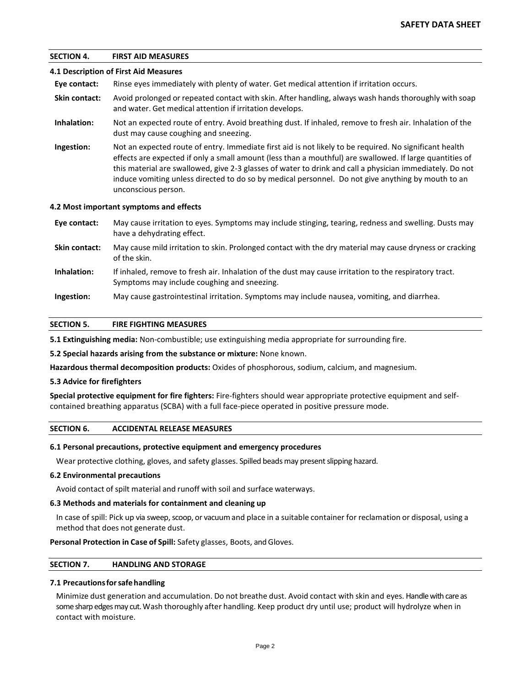# **SECTION 4. FIRST AID MEASURES**

### **4.1 Description of First Aid Measures**

**Eye contact:** Rinse eyes immediately with plenty of water. Get medical attention if irritation occurs.

- **Skin contact:** Avoid prolonged or repeated contact with skin. After handling, always wash hands thoroughly with soap and water. Get medical attention if irritation develops.
- **Inhalation:** Not an expected route of entry. Avoid breathing dust. If inhaled, remove to fresh air. Inhalation of the dust may cause coughing and sneezing.
- **Ingestion:** Not an expected route of entry. Immediate first aid is not likely to be required. No significant health effects are expected if only a small amount (less than a mouthful) are swallowed. If large quantities of this material are swallowed, give 2-3 glasses of water to drink and call a physician immediately. Do not induce vomiting unless directed to do so by medical personnel. Do not give anything by mouth to an unconscious person.

#### **4.2 Most important symptoms and effects**

- **Eye contact:** May cause irritation to eyes. Symptoms may include stinging, tearing, redness and swelling. Dusts may have a dehydrating effect.
- **Skin contact:** May cause mild irritation to skin. Prolonged contact with the dry material may cause dryness or cracking of the skin.
- **Inhalation:** If inhaled, remove to fresh air. Inhalation of the dust may cause irritation to the respiratory tract. Symptoms may include coughing and sneezing.
- **Ingestion:** May cause gastrointestinal irritation. Symptoms may include nausea, vomiting, and diarrhea.

#### **SECTION 5. FIRE FIGHTING MEASURES**

**5.1 Extinguishing media:** Non-combustible; use extinguishing media appropriate for surrounding fire.

**5.2 Special hazards arising from the substance or mixture:** None known.

**Hazardous thermal decomposition products:** Oxides of phosphorous, sodium, calcium, and magnesium.

#### **5.3 Advice for firefighters**

**Special protective equipment for fire fighters:** Fire-fighters should wear appropriate protective equipment and selfcontained breathing apparatus (SCBA) with a full face-piece operated in positive pressure mode.

## **SECTION 6. ACCIDENTAL RELEASE MEASURES**

#### **6.1 Personal precautions, protective equipment and emergency procedures**

Wear protective clothing, gloves, and safety glasses. Spilled beads may present slipping hazard.

### **6.2 Environmental precautions**

Avoid contact of spilt material and runoff with soil and surface waterways.

#### **6.3 Methods and materials for containment and cleaning up**

In case of spill: Pick up via sweep, scoop, or vacuum and place in a suitable container for reclamation or disposal, using a method that does not generate dust.

**Personal Protection in Case of Spill:** Safety glasses, Boots, and Gloves.

#### **SECTION 7. HANDLING AND STORAGE**

### **7.1 Precautionsforsafe handling**

Minimize dust generation and accumulation. Do not breathe dust. Avoid contact with skin and eyes. Handle with careas some sharp edges may cut.Wash thoroughly after handling. Keep product dry until use; product will hydrolyze when in contact with moisture.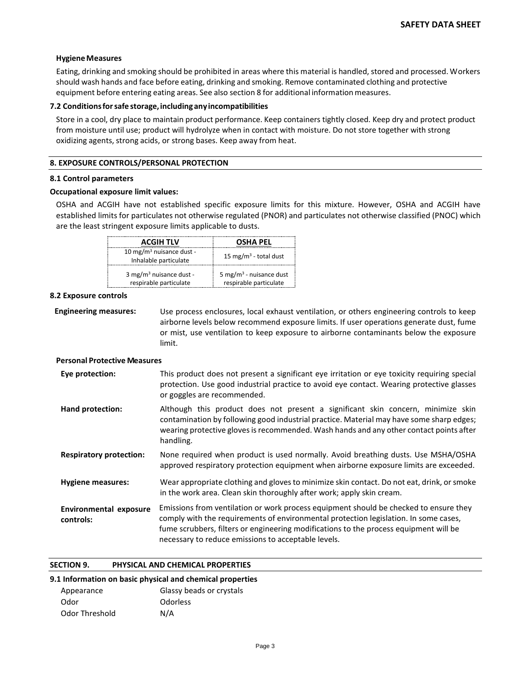### **HygieneMeasures**

Eating, drinking and smoking should be prohibited in areas where this material is handled, stored and processed. Workers should wash hands and face before eating, drinking and smoking. Remove contaminated clothing and protective equipment before entering eating areas. See also section 8 for additional information measures.

### **7.2 Conditionsforsafe storage, including any incompatibilities**

Store in a cool, dry place to maintain product performance. Keep containers tightly closed. Keep dry and protect product from moisture until use; product will hydrolyze when in contact with moisture. Do not store together with strong oxidizing agents, strong acids, or strong bases. Keep away from heat.

### **8. EXPOSURE CONTROLS/PERSONAL PROTECTION**

#### **8.1 Control parameters**

### **Occupational exposure limit values:**

OSHA and ACGIH have not established specific exposure limits for this mixture. However, OSHA and ACGIH have established limits for particulates not otherwise regulated (PNOR) and particulates not otherwise classified (PNOC) which are the least stringent exposure limits applicable to dusts.

| <b>ACGIH TLV</b>                                              | <b>OSHA PEL</b>                                               |
|---------------------------------------------------------------|---------------------------------------------------------------|
| 10 mg/m <sup>3</sup> nuisance dust -<br>Inhalable particulate | 15 mg/m <sup>3</sup> - total dust                             |
| 3 mg/m <sup>3</sup> nuisance dust -<br>respirable particulate | 5 mg/m <sup>3</sup> - nuisance dust<br>respirable particulate |

### **8.2 Exposure controls**

**Engineering measures:** Use process enclosures, local exhaust ventilation, or others engineering controls to keep airborne levels below recommend exposure limits. If user operations generate dust, fume or mist, use ventilation to keep exposure to airborne contaminants below the exposure limit.

### **Personal Protective Measures**

| Eye protection:                            | This product does not present a significant eye irritation or eye toxicity requiring special<br>protection. Use good industrial practice to avoid eye contact. Wearing protective glasses<br>or goggles are recommended.                                                                                                      |
|--------------------------------------------|-------------------------------------------------------------------------------------------------------------------------------------------------------------------------------------------------------------------------------------------------------------------------------------------------------------------------------|
| Hand protection:                           | Although this product does not present a significant skin concern, minimize skin<br>contamination by following good industrial practice. Material may have some sharp edges;<br>wearing protective gloves is recommended. Wash hands and any other contact points after<br>handling.                                          |
| <b>Respiratory protection:</b>             | None required when product is used normally. Avoid breathing dusts. Use MSHA/OSHA<br>approved respiratory protection equipment when airborne exposure limits are exceeded.                                                                                                                                                    |
| <b>Hygiene measures:</b>                   | Wear appropriate clothing and gloves to minimize skin contact. Do not eat, drink, or smoke<br>in the work area. Clean skin thoroughly after work; apply skin cream.                                                                                                                                                           |
| <b>Environmental exposure</b><br>controls: | Emissions from ventilation or work process equipment should be checked to ensure they<br>comply with the requirements of environmental protection legislation. In some cases,<br>fume scrubbers, filters or engineering modifications to the process equipment will be<br>necessary to reduce emissions to acceptable levels. |

### **SECTION 9. PHYSICAL AND CHEMICAL PROPERTIES**

## **9.1 Information on basic physical and chemical properties**

| Appearance     | Glassy beads or crystals |
|----------------|--------------------------|
| Odor           | Odorless                 |
| Odor Threshold | N/A                      |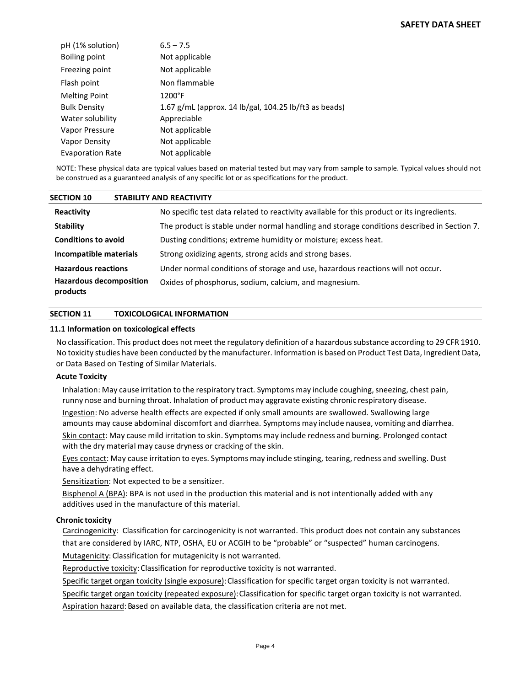| pH (1% solution)        | $6.5 - 7.5$                                           |
|-------------------------|-------------------------------------------------------|
| Boiling point           | Not applicable                                        |
| Freezing point          | Not applicable                                        |
| Flash point             | Non flammable                                         |
| <b>Melting Point</b>    | $1200^{\circ}F$                                       |
| <b>Bulk Density</b>     | 1.67 g/mL (approx. 14 lb/gal, 104.25 lb/ft3 as beads) |
| Water solubility        | Appreciable                                           |
| Vapor Pressure          | Not applicable                                        |
| Vapor Density           | Not applicable                                        |
| <b>Evaporation Rate</b> | Not applicable                                        |

NOTE: These physical data are typical values based on material tested but may vary from sample to sample. Typical values should not be construed as a guaranteed analysis of any specific lot or as specifications for the product.

| <b>SECTION 10</b>                          | <b>STABILITY AND REACTIVITY</b>                                                            |
|--------------------------------------------|--------------------------------------------------------------------------------------------|
| Reactivity                                 | No specific test data related to reactivity available for this product or its ingredients. |
| <b>Stability</b>                           | The product is stable under normal handling and storage conditions described in Section 7. |
| <b>Conditions to avoid</b>                 | Dusting conditions; extreme humidity or moisture; excess heat.                             |
| Incompatible materials                     | Strong oxidizing agents, strong acids and strong bases.                                    |
| <b>Hazardous reactions</b>                 | Under normal conditions of storage and use, hazardous reactions will not occur.            |
| <b>Hazardous decomposition</b><br>products | Oxides of phosphorus, sodium, calcium, and magnesium.                                      |

# **SECTION 11 TOXICOLOGICAL INFORMATION**

### **11.1 Information on toxicological effects**

No classification. This product does not meet the regulatory definition of a hazardous substance according to 29 CFR 1910. No toxicity studies have been conducted by the manufacturer. Information is based on Product Test Data, Ingredient Data, or Data Based on Testing of Similar Materials.

## **Acute Toxicity**

Inhalation: May cause irritation to the respiratory tract. Symptoms may include coughing, sneezing, chest pain, runny nose and burning throat. Inhalation of product may aggravate existing chronic respiratory disease.

Ingestion: No adverse health effects are expected if only small amounts are swallowed. Swallowing large amounts may cause abdominal discomfort and diarrhea. Symptoms may include nausea, vomiting and diarrhea.

Skin contact: May cause mild irritation to skin. Symptoms may include redness and burning. Prolonged contact with the dry material may cause dryness or cracking of the skin.

Eyes contact: May cause irritation to eyes. Symptoms may include stinging, tearing, redness and swelling. Dust have a dehydrating effect.

Sensitization: Not expected to be a sensitizer.

Bisphenol A (BPA): BPA is not used in the production this material and is not intentionally added with any additives used in the manufacture of this material.

## **Chronic toxicity**

Carcinogenicity: Classification for carcinogenicity is not warranted. This product does not contain any substances that are considered by IARC, NTP, OSHA, EU or ACGIH to be "probable" or "suspected" human carcinogens. Mutagenicity: Classification for mutagenicity is not warranted.

Reproductive toxicity: Classification for reproductive toxicity is not warranted.

Specific target organ toxicity (single exposure): Classification for specific target organ toxicity is not warranted.

Specific target organ toxicity (repeated exposure): Classification for specific target organ toxicity is not warranted.

Aspiration hazard: Based on available data, the classification criteria are not met.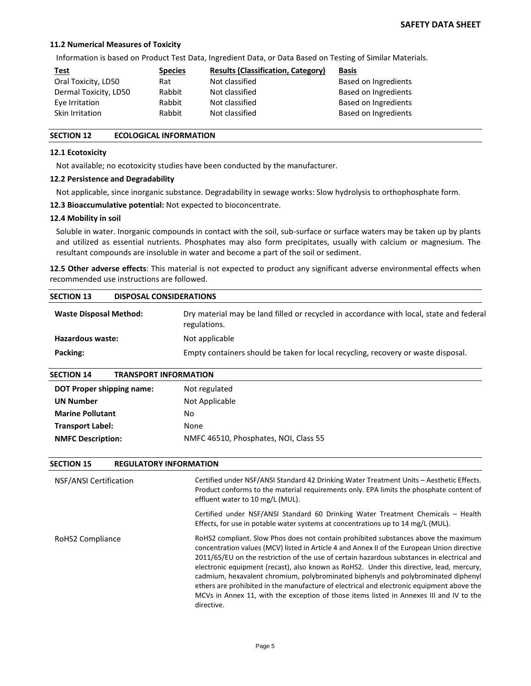## **11.2 Numerical Measures of Toxicity**

Information is based on Product Test Data, Ingredient Data, or Data Based on Testing of Similar Materials.

| <u>Test</u>           | <b>Species</b> | <b>Results (Classification, Category)</b> | <b>Basis</b>         |
|-----------------------|----------------|-------------------------------------------|----------------------|
| Oral Toxicity, LD50   | Rat            | Not classified                            | Based on Ingredients |
| Dermal Toxicity, LD50 | Rabbit         | Not classified                            | Based on Ingredients |
| Eye Irritation        | Rabbit         | Not classified                            | Based on Ingredients |
| Skin Irritation       | Rabbit         | Not classified                            | Based on Ingredients |

## **SECTION 12 ECOLOGICAL INFORMATION**

### **12.1 Ecotoxicity**

Not available; no ecotoxicity studies have been conducted by the manufacturer.

### **12.2 Persistence and Degradability**

Not applicable, since inorganic substance. Degradability in sewage works: Slow hydrolysis to orthophosphate form.

**12.3 Bioaccumulative potential:** Not expected to bioconcentrate.

#### **12.4 Mobility in soil**

Soluble in water. Inorganic compounds in contact with the soil, sub-surface or surface waters may be taken up by plants and utilized as essential nutrients. Phosphates may also form precipitates, usually with calcium or magnesium. The resultant compounds are insoluble in water and become a part of the soil or sediment.

**12.5 Other adverse effects**: This material is not expected to product any significant adverse environmental effects when recommended use instructions are followed.

| <b>SECTION 13</b>             | <b>DISPOSAL CONSIDERATIONS</b>                                                                          |  |
|-------------------------------|---------------------------------------------------------------------------------------------------------|--|
| <b>Waste Disposal Method:</b> | Dry material may be land filled or recycled in accordance with local, state and federal<br>regulations. |  |
| Hazardous waste:              | Not applicable                                                                                          |  |
| Packing:                      | Empty containers should be taken for local recycling, recovery or waste disposal.                       |  |
| <b>SECTION 14</b>             | <b>TRANSPORT INFORMATION</b>                                                                            |  |
| DOT Proper shipping name:     | Not regulated                                                                                           |  |
| <b>UN Number</b>              | Not Applicable                                                                                          |  |
| <b>Marine Pollutant</b>       | No                                                                                                      |  |
| <b>Transport Label:</b>       | None                                                                                                    |  |
| <b>NMFC Description:</b>      | NMFC 46510, Phosphates, NOI, Class 55                                                                   |  |

| <b>SECTION 15</b>      | <b>REGULATORY INFORMATION</b> |                                                                                                                                                                                                                                                                                                                                                                                                                                                                                                                                                                                                                                                                          |
|------------------------|-------------------------------|--------------------------------------------------------------------------------------------------------------------------------------------------------------------------------------------------------------------------------------------------------------------------------------------------------------------------------------------------------------------------------------------------------------------------------------------------------------------------------------------------------------------------------------------------------------------------------------------------------------------------------------------------------------------------|
| NSF/ANSI Certification |                               | Certified under NSF/ANSI Standard 42 Drinking Water Treatment Units - Aesthetic Effects.<br>Product conforms to the material requirements only. EPA limits the phosphate content of<br>effluent water to 10 mg/L (MUL).                                                                                                                                                                                                                                                                                                                                                                                                                                                  |
|                        |                               | Certified under NSF/ANSI Standard 60 Drinking Water Treatment Chemicals - Health<br>Effects, for use in potable water systems at concentrations up to 14 mg/L (MUL).                                                                                                                                                                                                                                                                                                                                                                                                                                                                                                     |
| RoHS2 Compliance       |                               | RoHS2 compliant. Slow Phos does not contain prohibited substances above the maximum<br>concentration values (MCV) listed in Article 4 and Annex II of the European Union directive<br>2011/65/EU on the restriction of the use of certain hazardous substances in electrical and<br>electronic equipment (recast), also known as RoHS2. Under this directive, lead, mercury,<br>cadmium, hexavalent chromium, polybrominated biphenyls and polybrominated diphenyl<br>ethers are prohibited in the manufacture of electrical and electronic equipment above the<br>MCVs in Annex 11, with the exception of those items listed in Annexes III and IV to the<br>directive. |